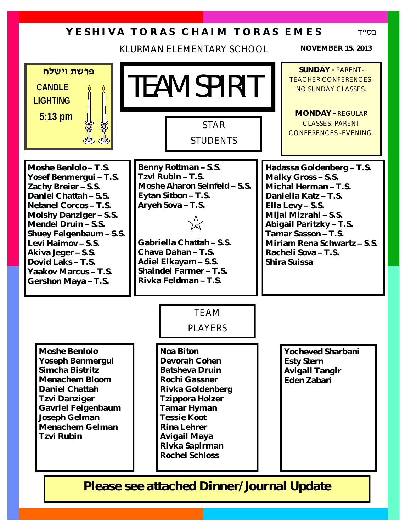### **Y E S H I V A T O R A S C H A I M T O R A S E M E S**

KLURMAN ELEMENTARY SCHOOL **NOVEMBER 15, 2013**

בס''ד

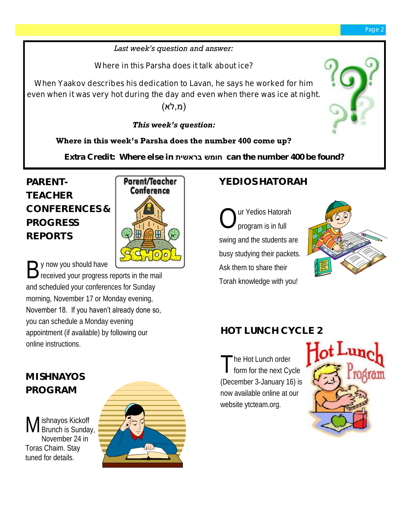#### *Last week's question and answer:*

Where in this Parsha does it talk about ice?

When Yaakov describes his dedication to Lavan, he says he worked for him even when it was very hot during the day and even when there was ice at night.

#### (מ,לא)

#### *This week's question:*

#### **Where in this week's Parsha does the number 400 come up?**

**Extra Credit: Where else in בראשית חומש can the number 400 be found?** 

# **PARENT-TEACHER CONFERENCES & PROGRESS REPORTS**



#### By now you should have<br>B received your progress received your progress reports in the mail and scheduled your conferences for Sunday morning, November 17 or Monday evening, November 18. If you haven't already done so,

you can schedule a Monday evening appointment (if available) by following our online instructions.

# **YEDIOS HATORAH**

 $\bigcirc$ ur Yedios Hatorah program is in full swing and the students are busy studying their packets. Ask them to share their Torah knowledge with you!



## **HOT LUNCH CYCLE 2**

The Hot Lunch order<br>form for the next Cycle he Hot Lunch order (December 3-January 16) is now available online at our website ytcteam.org.



# **MISHNAYOS PROGRAM**

M ishnayos Kickoff unch is Sunday, November 24 in Toras Chaim. Stay tuned for details.

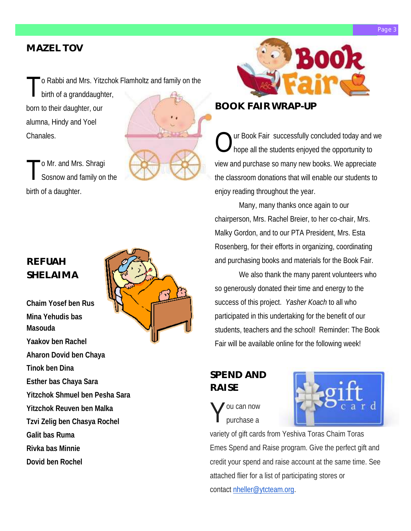#### Page

#### **MAZEL TOV**

o Rabbi and Mrs. Yitzchok Flamholtz and family on the

T birth of a granddaughter, born to their daughter, our alumna, Hindy and Yoel Chanales.

T o Mr. and Mrs. Shragi Sosnow and family on the birth of a daughter.

#### **REFUAH SHELAIMA**

**Chaim Yosef ben Rus Mina Yehudis bas Masouda Yaakov ben Rachel Aharon Dovid ben Chaya Tinok ben Dina Esther bas Chaya Sara Yitzchok Shmuel ben Pesha Sara Yitzchok Reuven ben Malka Tzvi Zelig ben Chasya Rochel Galit bas Ruma Rivka bas Minnie Dovid ben Rochel**





#### **BOOK FAIR WRAP-UP**

 $\bigcirc$ ur Book Fair successfully concluded today and we hope all the students enjoyed the opportunity to view and purchase so many new books. We appreciate the classroom donations that will enable our students to enjoy reading throughout the year.

Many, many thanks once again to our chairperson, Mrs. Rachel Breier, to her co-chair, Mrs. Malky Gordon, and to our PTA President, Mrs. Esta Rosenberg, for their efforts in organizing, coordinating and purchasing books and materials for the Book Fair.

We also thank the many parent volunteers who so generously donated their time and energy to the success of this project. *Yasher Koach* to all who participated in this undertaking for the benefit of our students, teachers and the school! Reminder: The Book Fair will be available online for the following week!

#### **SPEND AND RAISE**

Y ou can now purchase a



variety of gift cards from Yeshiva Toras Chaim Toras Emes Spend and Raise program. Give the perfect gift and credit your spend and raise account at the same time. See attached flier for a list of participating stores or contact [nheller@ytcteam.org.](mailto:nheller@ytcteam.org)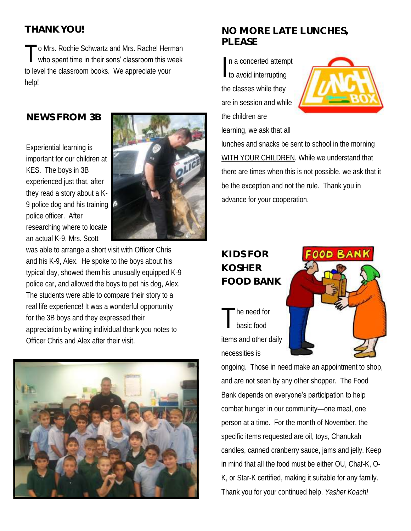#### **THANK YOU!**

T o Mrs. Rochie Schwartz and Mrs. Rachel Herman who spent time in their sons' classroom this week to level the classroom books. We appreciate your help!

#### **NEWS FROM 3B**

Experiential learning is important for our children at KES. The boys in 3B experienced just that, after they read a story about a K-9 police dog and his training police officer. After researching where to locate an actual K-9, Mrs. Scott



was able to arrange a short visit with Officer Chris and his K-9, Alex. He spoke to the boys about his typical day, showed them his unusually equipped K-9 police car, and allowed the boys to pet his dog, Alex. The students were able to compare their story to a real life experience! It was a wonderful opportunity for the 3B boys and they expressed their appreciation by writing individual thank you notes to Officer Chris and Alex after their visit.



#### **NO MORE LATE LUNCHES, PLEASE**

In a concerted attemption n a concerted attempt the classes while they are in session and while the children are learning, we ask that all



lunches and snacks be sent to school in the morning WITH YOUR CHILDREN. While we understand that there are times when this is not possible, we ask that it be the exception and not the rule. Thank you in advance for your cooperation.

#### **KIDS FOR KOSHER FOOD BANK**

T he need for basic food items and other daily necessities is



ongoing. Those in need make an appointment to shop, and are not seen by any other shopper. The Food Bank depends on everyone's participation to help combat hunger in our community—one meal, one person at a time. For the month of November, the specific items requested are oil, toys, Chanukah candles, canned cranberry sauce, jams and jelly. Keep in mind that all the food must be either OU, Chaf-K, O-K, or Star-K certified, making it suitable for any family. Thank you for your continued help. *Yasher Koach!*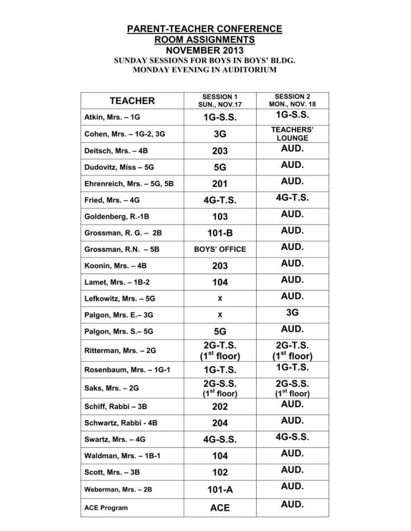# PARENT-TEACHER CONFERENCE<br>ROOM ASSIGNMENTS **NOVEMBER 2013** SUNDAY SESSIONS FOR BOYS IN BOYS' BLDG.

MONDAY EVENING IN AUDITORIUM

| <b>TEACHER</b>            | <b>SESSION 1</b><br><b>SUN., NOV.17</b> | <b>SESSION 2</b><br><b>MON., NOV. 18</b> |
|---------------------------|-----------------------------------------|------------------------------------------|
| Atkin, Mrs. - 1G          | 1G-S.S.                                 | 1G-S.S.                                  |
| Cohen, Mrs. - 1G-2, 3G    | 3G                                      | <b>TEACHERS'</b><br><b>LOUNGE</b>        |
| Deitsch, Mrs. - 4B        | 203                                     | AUD.                                     |
| Dudovitz, Miss - 5G       | 5G                                      | AUD.                                     |
| Ehrenreich, Mrs. - 5G, 5B | 201                                     | AUD.                                     |
| Fried, Mrs. - 4G          | 4G-T.S.                                 | 4G-T.S.                                  |
| Goldenberg, R.-1B         | 103                                     | AUD.                                     |
| Grossman, R. G. - 2B      | $101-B$                                 | AUD.                                     |
| Grossman, R.N. - 5B       | <b>BOYS' OFFICE</b>                     | AUD.                                     |
| Koonin, Mrs. - 4B         | 203                                     | AUD.                                     |
| <b>Lamet, Mrs. - 1B-2</b> | 104                                     | AUD.                                     |
| Lefkowitz, Mrs. - 5G      | X                                       | AUD.                                     |
| Palgon, Mrs. E.-3G        | X                                       | 3G                                       |
| Palgon, Mrs. S.-5G        | 5G                                      | AUD.                                     |
| Ritterman, Mrs. - 2G      | 2G-T.S.<br>(1 <sup>st</sup> floor)      | 2G-T.S.<br>(1 <sup>st</sup> floor)       |
| Rosenbaum, Mrs. - 1G-1    | 1G-T.S.                                 | 1G-T.S.                                  |
| Saks, Mrs. - 2G           | 2G-S.S.<br>(1 <sup>st</sup> floor)      | 2G-S.S.<br>(1 <sup>st</sup> floor)       |
| Schiff, Rabbi - 3B        | 202                                     | AUD.                                     |
| Schwartz, Rabbi - 4B      | 204                                     | AUD.                                     |
| Swartz, Mrs. - 4G         | 4G-S.S.                                 | 4G-S.S.                                  |
| Waldman, Mrs. - 1B-1      | 104                                     | AUD.                                     |
| Scott, Mrs. - 3B          | 102                                     | AUD.                                     |
| Weberman, Mrs. - 2B       | 101-A                                   | AUD.                                     |
| <b>ACE Program</b>        | ACE                                     | AUD.                                     |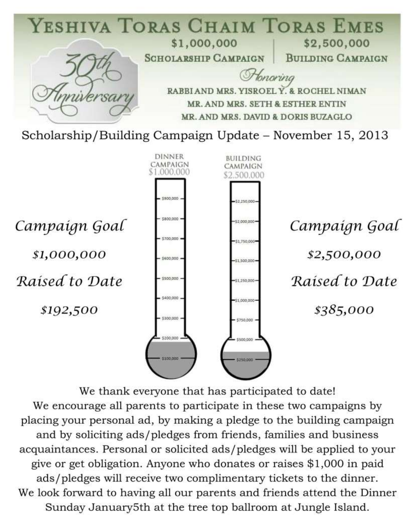

We thank everyone that has participated to date! We encourage all parents to participate in these two campaigns by placing your personal ad, by making a pledge to the building campaign and by soliciting ads/pledges from friends, families and business acquaintances. Personal or solicited ads/pledges will be applied to your give or get obligation. Anyone who donates or raises \$1,000 in paid ads/pledges will receive two complimentary tickets to the dinner. We look forward to having all our parents and friends attend the Dinner Sunday January5th at the tree top ballroom at Jungle Island.